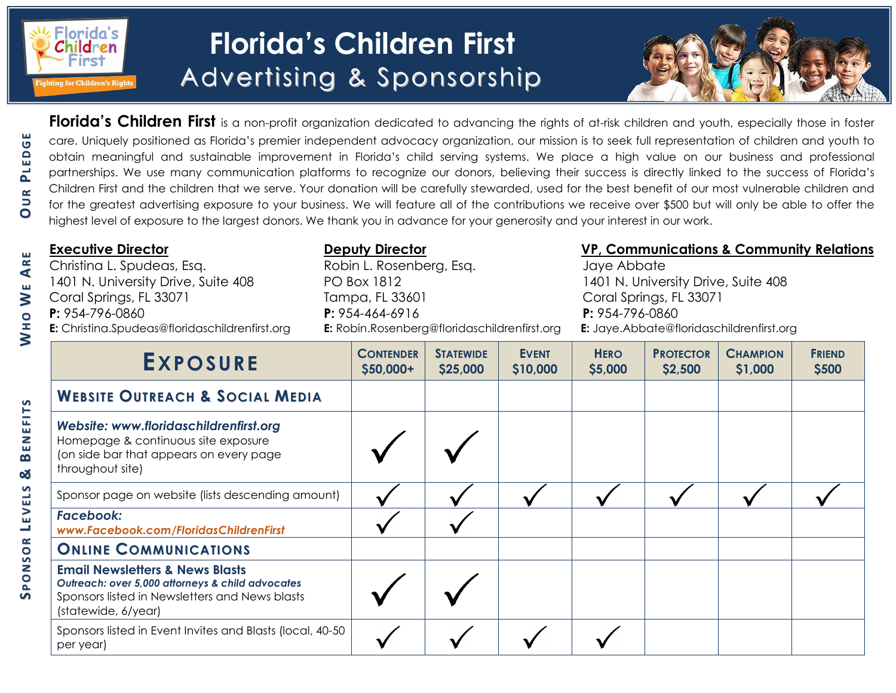

<u>က</u>်</u> **O N S O R**

**L EV E L S**

**&**

**BEN E F I T S**

**UR**

**PL ED**

**G E**

## **Florida's Children First** Advertising & Sponsorship



Florida's Children First is a non-profit organization dedicated to advancing the rights of at-risk children and youth, especially those in foster care. Uniquely positioned as Florida's premier independent advocacy organization, our mission is to seek full representation of children and youth to obtain meaningful and sustainable improvement in Florida's child serving systems. We place a high value on our business and professional partnerships. We use many communication platforms to recognize our donors, believing their success is directly linked to the success of Florida's Children First and the children that we serve. Your donation will be carefully stewarded, used for the best benefit of our most vulnerable children and for the greatest advertising exposure to your business. We will feature all of the contributions we receive over \$500 but will only be able to offer the highest level of exposure to the largest donors. We thank you in advance for your generosity and your interest in our work.

| <b>Executive Director</b>                             | <b>Deputy Director</b>                       | VP, Communications & Community Relations        |  |  |  |
|-------------------------------------------------------|----------------------------------------------|-------------------------------------------------|--|--|--|
| Christina L. Spudeas, Esq.                            | Robin L. Rosenberg, Esq.                     | Jaye Abbate                                     |  |  |  |
| 1401 N. University Drive, Suite 408                   | PO Box 1812                                  | 1401 N. University Drive, Suite 408             |  |  |  |
| Coral Springs, FL 33071                               | Tampa, FL 33601                              | Coral Springs, FL 33071                         |  |  |  |
| $P: 954 - 796 - 0860$                                 | $P: 954 - 464 - 6916$                        | $P: 954 - 796 - 0860$                           |  |  |  |
| <b>E:</b> Christina.Spudeas@floridaschildrenfirst.org | E: Robin.Rosenberg@floridaschildrenfirst.org | <b>E:</b> Jaye.Abbate@floridaschildrenfirst.org |  |  |  |

| <b>EXPOSURE</b>                                                                                                                                                         | <b>CONTENDER</b><br>$$50,000+$ | <b>STATEWIDE</b><br>\$25,000 | <b>EVENT</b><br>\$10,000 | <b>HERO</b><br>\$5,000 | <b>PROTECTOR</b><br>\$2,500 | <b>CHAMPION</b><br>\$1,000 | <b>FRIEND</b><br>\$500 |
|-------------------------------------------------------------------------------------------------------------------------------------------------------------------------|--------------------------------|------------------------------|--------------------------|------------------------|-----------------------------|----------------------------|------------------------|
| <b>WEBSITE OUTREACH &amp; SOCIAL MEDIA</b>                                                                                                                              |                                |                              |                          |                        |                             |                            |                        |
| Website: www.floridaschildrenfirst.org<br>Homepage & continuous site exposure<br>(on side bar that appears on every page<br>throughout site)                            |                                |                              |                          |                        |                             |                            |                        |
| Sponsor page on website (lists descending amount)                                                                                                                       |                                |                              |                          |                        |                             |                            |                        |
| Facebook:<br>www.Facebook.com/FloridasChildrenFirst                                                                                                                     |                                |                              |                          |                        |                             |                            |                        |
| <b>ONLINE COMMUNICATIONS</b>                                                                                                                                            |                                |                              |                          |                        |                             |                            |                        |
| <b>Email Newsletters &amp; News Blasts</b><br>Outreach: over 5,000 attorneys & child advocates<br>Sponsors listed in Newsletters and News blasts<br>(statewide, 6/year) |                                |                              |                          |                        |                             |                            |                        |
| Sponsors listed in Event Invites and Blasts (local, 40-50)<br>per year)                                                                                                 |                                |                              |                          |                        |                             |                            |                        |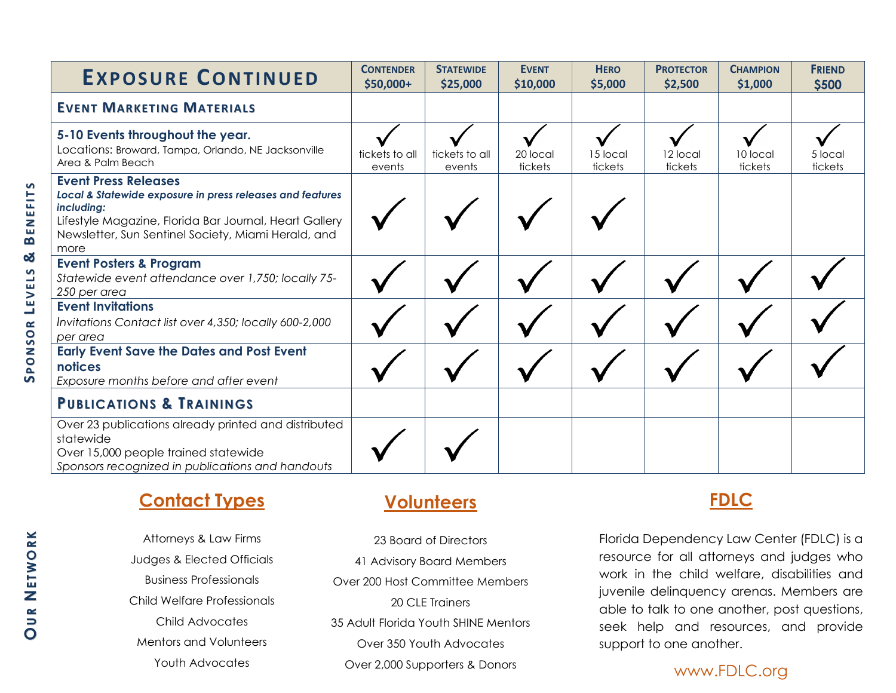| <b>EXPOSURE CONTINUED</b>                                                                                                                                                                                                       | <b>CONTENDER</b><br>\$50,000+ | <b>STATEWIDE</b><br>\$25,000 | <b>EVENT</b><br>\$10,000 | <b>HERO</b><br>\$5,000 | <b>PROTECTOR</b><br>\$2,500 | <b>CHAMPION</b><br>\$1,000 | <b>FRIEND</b><br>\$500 |
|---------------------------------------------------------------------------------------------------------------------------------------------------------------------------------------------------------------------------------|-------------------------------|------------------------------|--------------------------|------------------------|-----------------------------|----------------------------|------------------------|
| <b>EVENT MARKETING MATERIALS</b>                                                                                                                                                                                                |                               |                              |                          |                        |                             |                            |                        |
| 5-10 Events throughout the year.<br>Locations: Broward, Tampa, Orlando, NE Jacksonville<br>Area & Palm Beach                                                                                                                    | tickets to all<br>events      | tickets to all<br>events     | 20 local<br>tickets      | 15 local<br>tickets    | 12 local<br>tickets         | 10 local<br>tickets        | 5 local<br>tickets     |
| <b>Event Press Releases</b><br>Local & Statewide exposure in press releases and features<br>including:<br>Lifestyle Magazine, Florida Bar Journal, Heart Gallery<br>Newsletter, Sun Sentinel Society, Miami Herald, and<br>more |                               |                              |                          |                        |                             |                            |                        |
| <b>Event Posters &amp; Program</b><br>Statewide event attendance over 1,750; locally 75-<br>250 per area                                                                                                                        |                               |                              |                          |                        |                             |                            |                        |
| <b>Event Invitations</b><br>Invitations Contact list over 4,350; locally 600-2,000<br>per area                                                                                                                                  |                               |                              |                          |                        |                             |                            |                        |
| <b>Early Event Save the Dates and Post Event</b><br>notices<br>Exposure months before and after event                                                                                                                           |                               |                              |                          |                        |                             |                            |                        |
| <b>PUBLICATIONS &amp; TRAININGS</b>                                                                                                                                                                                             |                               |                              |                          |                        |                             |                            |                        |
| Over 23 publications already printed and distributed<br>statewide<br>Over 15,000 people trained statewide<br>Sponsors recognized in publications and handouts                                                                   |                               |                              |                          |                        |                             |                            |                        |

## **Contact Types**

**OU R N E TW O R K**

Attorneys & Law Firms Judges & Elected Officials Business Professionals Child Welfare Professionals Child Advocates Mentors and Volunteers Youth Advocates

### **Volunteers**

23 Board of Directors 41 Advisory Board Members Over 200 Host Committee Members 20 CLE Trainers 35 Adult Florida Youth SHINE Mentors Over 350 Youth Advocates Over 2,000 Supporters & Donors

### **FDLC**

Florida Dependency Law Center (FDLC) is a resource for all attorneys and judges who work in the child welfare, disabilities and juvenile delinquency arenas. Members are able to talk to one another, post questions, seek help and resources, and provide support to one another.

www.FDLC.org